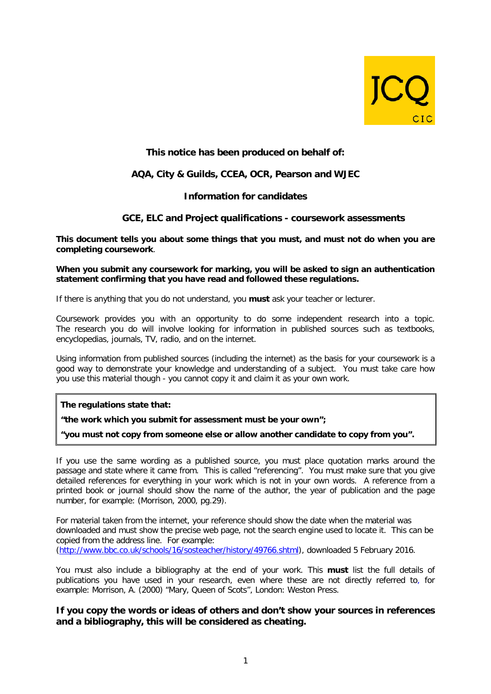

# **This notice has been produced on behalf of:**

## **AQA, City & Guilds, CCEA, OCR, Pearson and WJEC**

### **Information for candidates**

### **GCE, ELC and Project qualifications - coursework assessments**

**This document tells you about some things that you must, and must not do when you are completing coursework**.

#### **When you submit any coursework for marking, you will be asked to sign an authentication statement confirming that you have read and followed these regulations.**

If there is anything that you do not understand, you **must** ask your teacher or lecturer.

Coursework provides you with an opportunity to do some independent research into a topic. The research you do will involve looking for information in published sources such as textbooks, encyclopedias, journals, TV, radio, and on the internet.

Using information from published sources (including the internet) as the basis for your coursework is a good way to demonstrate your knowledge and understanding of a subject. You must take care how you use this material though - you cannot copy it and claim it as your own work.

**The regulations state that:**

**"the work which you submit for assessment must be your own";**

**"you must not copy from someone else or allow another candidate to copy from you".**

If you use the same wording as a published source, you must place quotation marks around the passage and state where it came from. This is called "referencing". You must make sure that you give detailed references for everything in your work which is not in your own words. A reference from a printed book or journal should show the name of the author, the year of publication and the page number, for example: (Morrison, 2000, pg.29).

For material taken from the internet, your reference should show the date when the material was downloaded and must show the precise web page, not the search engine used to locate it. This can be copied from the address line. For example: [\(http://www.bbc.co.uk/schools/16/sosteacher/history/49766.shtml\)](http://www.bbc.co.uk/schools/16/sosteacher/history/49766.shtml), downloaded 5 February 2016.

You must also include a bibliography at the end of your work. This **must** list the full details of publications you have used in your research, even where these are not directly referred to, for example: Morrison, A. (2000) "Mary, Queen of Scots", London: Weston Press.

### **If you copy the words or ideas of others and don't show your sources in references and a bibliography, this will be considered as cheating.**